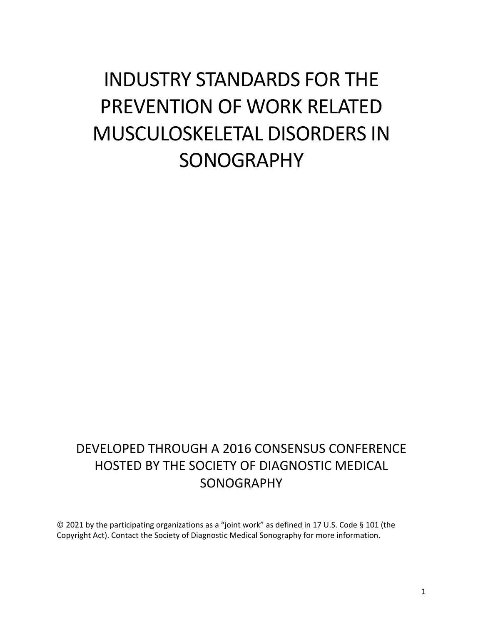# INDUSTRY STANDARDS FOR THE PREVENTION OF WORK RELATED MUSCULOSKELETAL DISORDERS IN SONOGRAPHY

# DEVELOPED THROUGH A 2016 CONSENSUS CONFERENCE HOSTED BY THE SOCIETY OF DIAGNOSTIC MEDICAL SONOGRAPHY

© 2021 by the participating organizations as a "joint work" as defined in 17 U.S. Code § 101 (the Copyright Act). Contact the Society of Diagnostic Medical Sonography for more information.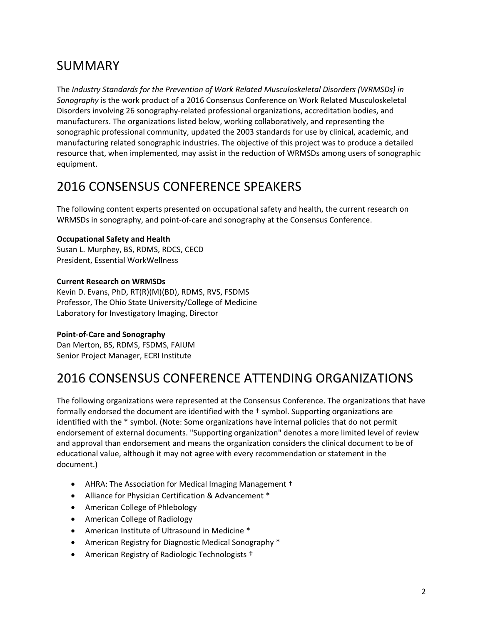# SUMMARY

The *Industry Standards for the Prevention of Work Related Musculoskeletal Disorders (WRMSDs) in Sonography* is the work product of a 2016 Consensus Conference on Work Related Musculoskeletal Disorders involving 26 sonography-related professional organizations, accreditation bodies, and manufacturers. The organizations listed below, working collaboratively, and representing the sonographic professional community, updated the 2003 standards for use by clinical, academic, and manufacturing related sonographic industries. The objective of this project was to produce a detailed resource that, when implemented, may assist in the reduction of WRMSDs among users of sonographic equipment.

# 2016 CONSENSUS CONFERENCE SPEAKERS

The following content experts presented on occupational safety and health, the current research on WRMSDs in sonography, and point-of-care and sonography at the Consensus Conference.

#### **Occupational Safety and Health**

Susan L. Murphey, BS, RDMS, RDCS, CECD President, Essential WorkWellness

#### **Current Research on WRMSDs**

Kevin D. Evans, PhD, RT(R)(M)(BD), RDMS, RVS, FSDMS Professor, The Ohio State University/College of Medicine Laboratory for Investigatory Imaging, Director

#### **Point-of-Care and Sonography**

Dan Merton, BS, RDMS, FSDMS, FAIUM Senior Project Manager, ECRI Institute

# 2016 CONSENSUS CONFERENCE ATTENDING ORGANIZATIONS

The following organizations were represented at the Consensus Conference. The organizations that have formally endorsed the document are identified with the † symbol. Supporting organizations are identified with the \* symbol. (Note: Some organizations have internal policies that do not permit endorsement of external documents. "Supporting organization" denotes a more limited level of review and approval than endorsement and means the organization considers the clinical document to be of educational value, although it may not agree with every recommendation or statement in the document.)

- AHRA: The Association for Medical Imaging Management †
- Alliance for Physician Certification & Advancement \*
- American College of Phlebology
- American College of Radiology
- American Institute of Ultrasound in Medicine \*
- American Registry for Diagnostic Medical Sonography \*
- American Registry of Radiologic Technologists †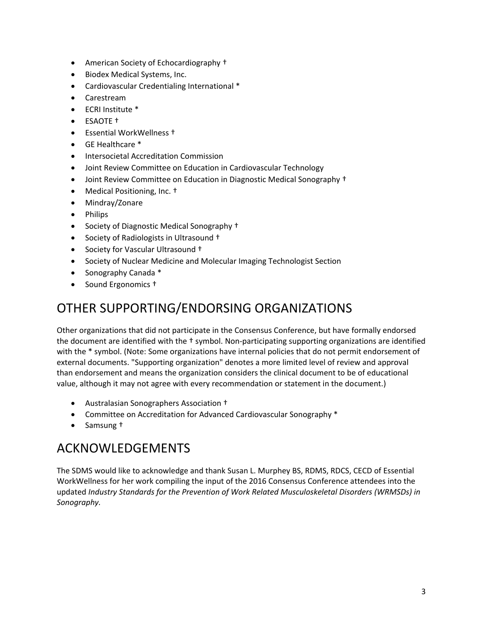- American Society of Echocardiography <sup>+</sup>
- **•** Biodex Medical Systems, Inc.
- Cardiovascular Credentialing International \*
- Carestream
- ECRI Institute \*
- ESAOTE †
- Essential WorkWellness †
- GE Healthcare \*
- **•** Intersocietal Accreditation Commission
- Joint Review Committee on Education in Cardiovascular Technology
- Joint Review Committee on Education in Diagnostic Medical Sonography †
- Medical Positioning, Inc. <sup>†</sup>
- Mindray/Zonare
- Philips
- Society of Diagnostic Medical Sonography +
- Society of Radiologists in Ultrasound +
- Society for Vascular Ultrasound <sup>+</sup>
- Society of Nuclear Medicine and Molecular Imaging Technologist Section
- Sonography Canada \*
- Sound Ergonomics +

# OTHER SUPPORTING/ENDORSING ORGANIZATIONS

Other organizations that did not participate in the Consensus Conference, but have formally endorsed the document are identified with the † symbol. Non-participating supporting organizations are identified with the \* symbol. (Note: Some organizations have internal policies that do not permit endorsement of external documents. "Supporting organization" denotes a more limited level of review and approval than endorsement and means the organization considers the clinical document to be of educational value, although it may not agree with every recommendation or statement in the document.)

- Australasian Sonographers Association †
- Committee on Accreditation for Advanced Cardiovascular Sonography \*
- Samsung +

# ACKNOWLEDGEMENTS

The SDMS would like to acknowledge and thank Susan L. Murphey BS, RDMS, RDCS, CECD of Essential WorkWellness for her work compiling the input of the 2016 Consensus Conference attendees into the updated *Industry Standards for the Prevention of Work Related Musculoskeletal Disorders (WRMSDs) in Sonography.*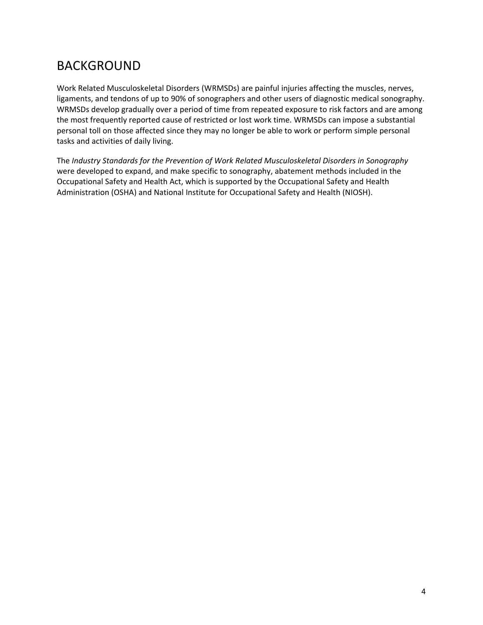# BACKGROUND

Work Related Musculoskeletal Disorders (WRMSDs) are painful injuries affecting the muscles, nerves, ligaments, and tendons of up to 90% of sonographers and other users of diagnostic medical sonography. WRMSDs develop gradually over a period of time from repeated exposure to risk factors and are among the most frequently reported cause of restricted or lost work time. WRMSDs can impose a substantial personal toll on those affected since they may no longer be able to work or perform simple personal tasks and activities of daily living.

The *Industry Standards for the Prevention of Work Related Musculoskeletal Disorders in Sonography*  were developed to expand, and make specific to sonography, abatement methods included in the Occupational Safety and Health Act, which is supported by the Occupational Safety and Health Administration (OSHA) and National Institute for Occupational Safety and Health (NIOSH).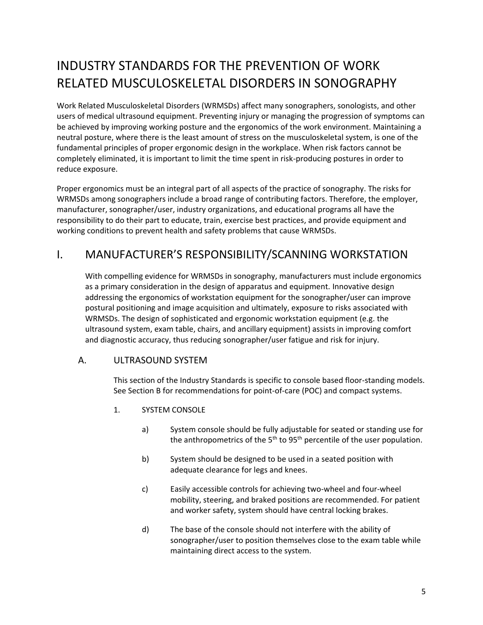# INDUSTRY STANDARDS FOR THE PREVENTION OF WORK RELATED MUSCULOSKELETAL DISORDERS IN SONOGRAPHY

Work Related Musculoskeletal Disorders (WRMSDs) affect many sonographers, sonologists, and other users of medical ultrasound equipment. Preventing injury or managing the progression of symptoms can be achieved by improving working posture and the ergonomics of the work environment. Maintaining a neutral posture, where there is the least amount of stress on the musculoskeletal system, is one of the fundamental principles of proper ergonomic design in the workplace. When risk factors cannot be completely eliminated, it is important to limit the time spent in risk-producing postures in order to reduce exposure.

Proper ergonomics must be an integral part of all aspects of the practice of sonography. The risks for WRMSDs among sonographers include a broad range of contributing factors. Therefore, the employer, manufacturer, sonographer/user, industry organizations, and educational programs all have the responsibility to do their part to educate, train, exercise best practices, and provide equipment and working conditions to prevent health and safety problems that cause WRMSDs.

# I. MANUFACTURER'S RESPONSIBILITY/SCANNING WORKSTATION

With compelling evidence for WRMSDs in sonography, manufacturers must include ergonomics as a primary consideration in the design of apparatus and equipment. Innovative design addressing the ergonomics of workstation equipment for the sonographer/user can improve postural positioning and image acquisition and ultimately, exposure to risks associated with WRMSDs. The design of sophisticated and ergonomic workstation equipment (e.g. the ultrasound system, exam table, chairs, and ancillary equipment) assists in improving comfort and diagnostic accuracy, thus reducing sonographer/user fatigue and risk for injury.

### A. ULTRASOUND SYSTEM

This section of the Industry Standards is specific to console based floor-standing models. See Section B for recommendations for point-of-care (POC) and compact systems.

- 1. SYSTEM CONSOLE
	- a) System console should be fully adjustable for seated or standing use for the anthropometrics of the  $5<sup>th</sup>$  to 95<sup>th</sup> percentile of the user population.
	- b) System should be designed to be used in a seated position with adequate clearance for legs and knees.
	- c) Easily accessible controls for achieving two-wheel and four-wheel mobility, steering, and braked positions are recommended. For patient and worker safety, system should have central locking brakes.
	- d) The base of the console should not interfere with the ability of sonographer/user to position themselves close to the exam table while maintaining direct access to the system.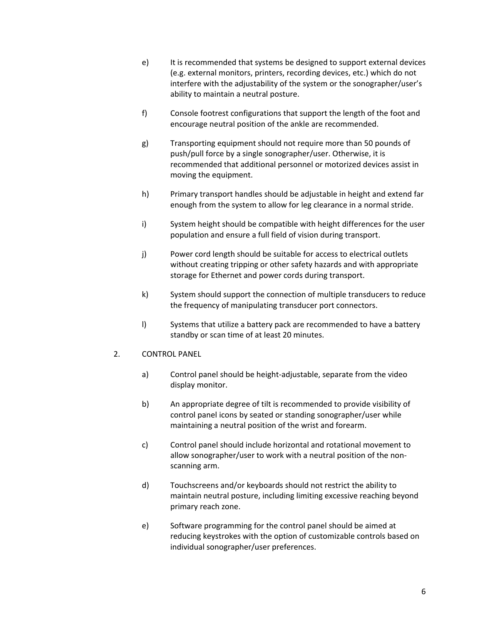- e) It is recommended that systems be designed to support external devices (e.g. external monitors, printers, recording devices, etc.) which do not interfere with the adjustability of the system or the sonographer/user's ability to maintain a neutral posture.
- f) Console footrest configurations that support the length of the foot and encourage neutral position of the ankle are recommended.
- g) Transporting equipment should not require more than 50 pounds of push/pull force by a single sonographer/user. Otherwise, it is recommended that additional personnel or motorized devices assist in moving the equipment.
- h) Primary transport handles should be adjustable in height and extend far enough from the system to allow for leg clearance in a normal stride.
- i) System height should be compatible with height differences for the user population and ensure a full field of vision during transport.
- j) Power cord length should be suitable for access to electrical outlets without creating tripping or other safety hazards and with appropriate storage for Ethernet and power cords during transport.
- k) System should support the connection of multiple transducers to reduce the frequency of manipulating transducer port connectors.
- l) Systems that utilize a battery pack are recommended to have a battery standby or scan time of at least 20 minutes.

#### 2. CONTROL PANEL

- a) Control panel should be height-adjustable, separate from the video display monitor.
- b) An appropriate degree of tilt is recommended to provide visibility of control panel icons by seated or standing sonographer/user while maintaining a neutral position of the wrist and forearm.
- c) Control panel should include horizontal and rotational movement to allow sonographer/user to work with a neutral position of the nonscanning arm.
- d) Touchscreens and/or keyboards should not restrict the ability to maintain neutral posture, including limiting excessive reaching beyond primary reach zone.
- e) Software programming for the control panel should be aimed at reducing keystrokes with the option of customizable controls based on individual sonographer/user preferences.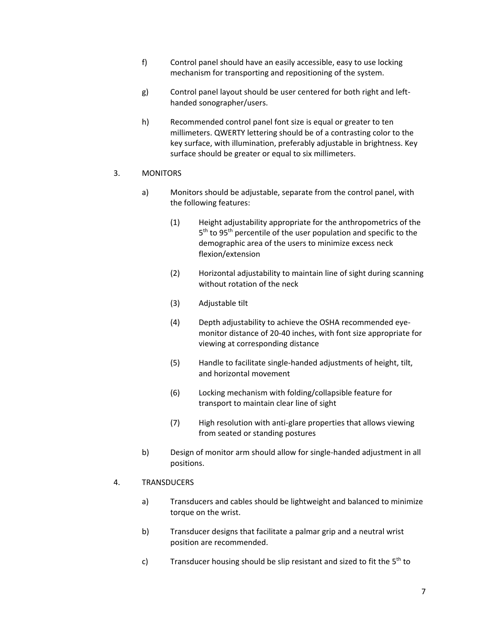- f) Control panel should have an easily accessible, easy to use locking mechanism for transporting and repositioning of the system.
- g) Control panel layout should be user centered for both right and lefthanded sonographer/users.
- h) Recommended control panel font size is equal or greater to ten millimeters. QWERTY lettering should be of a contrasting color to the key surface, with illumination, preferably adjustable in brightness. Key surface should be greater or equal to six millimeters.

#### 3. MONITORS

- a) Monitors should be adjustable, separate from the control panel, with the following features:
	- (1) Height adjustability appropriate for the anthropometrics of the 5<sup>th</sup> to 95<sup>th</sup> percentile of the user population and specific to the demographic area of the users to minimize excess neck flexion/extension
	- (2) Horizontal adjustability to maintain line of sight during scanning without rotation of the neck
	- (3) Adjustable tilt
	- (4) Depth adjustability to achieve the OSHA recommended eyemonitor distance of 20-40 inches, with font size appropriate for viewing at corresponding distance
	- (5) Handle to facilitate single-handed adjustments of height, tilt, and horizontal movement
	- (6) Locking mechanism with folding/collapsible feature for transport to maintain clear line of sight
	- (7) High resolution with anti-glare properties that allows viewing from seated or standing postures
- b) Design of monitor arm should allow for single-handed adjustment in all positions.

#### 4. TRANSDUCERS

- a) Transducers and cables should be lightweight and balanced to minimize torque on the wrist.
- b) Transducer designs that facilitate a palmar grip and a neutral wrist position are recommended.
- c) Transducer housing should be slip resistant and sized to fit the  $5<sup>th</sup>$  to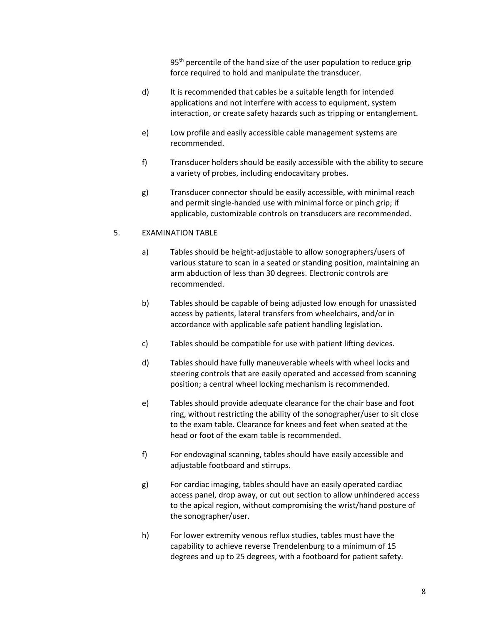95<sup>th</sup> percentile of the hand size of the user population to reduce grip force required to hold and manipulate the transducer.

- d) It is recommended that cables be a suitable length for intended applications and not interfere with access to equipment, system interaction, or create safety hazards such as tripping or entanglement.
- e) Low profile and easily accessible cable management systems are recommended.
- f) Transducer holders should be easily accessible with the ability to secure a variety of probes, including endocavitary probes.
- g) Transducer connector should be easily accessible, with minimal reach and permit single-handed use with minimal force or pinch grip; if applicable, customizable controls on transducers are recommended.

#### 5. EXAMINATION TABLE

- a) Tables should be height-adjustable to allow sonographers/users of various stature to scan in a seated or standing position, maintaining an arm abduction of less than 30 degrees. Electronic controls are recommended.
- b) Tables should be capable of being adjusted low enough for unassisted access by patients, lateral transfers from wheelchairs, and/or in accordance with applicable safe patient handling legislation.
- c) Tables should be compatible for use with patient lifting devices.
- d) Tables should have fully maneuverable wheels with wheel locks and steering controls that are easily operated and accessed from scanning position; a central wheel locking mechanism is recommended.
- e) Tables should provide adequate clearance for the chair base and foot ring, without restricting the ability of the sonographer/user to sit close to the exam table. Clearance for knees and feet when seated at the head or foot of the exam table is recommended.
- f) For endovaginal scanning, tables should have easily accessible and adjustable footboard and stirrups.
- g) For cardiac imaging, tables should have an easily operated cardiac access panel, drop away, or cut out section to allow unhindered access to the apical region, without compromising the wrist/hand posture of the sonographer/user.
- h) For lower extremity venous reflux studies, tables must have the capability to achieve reverse Trendelenburg to a minimum of 15 degrees and up to 25 degrees, with a footboard for patient safety.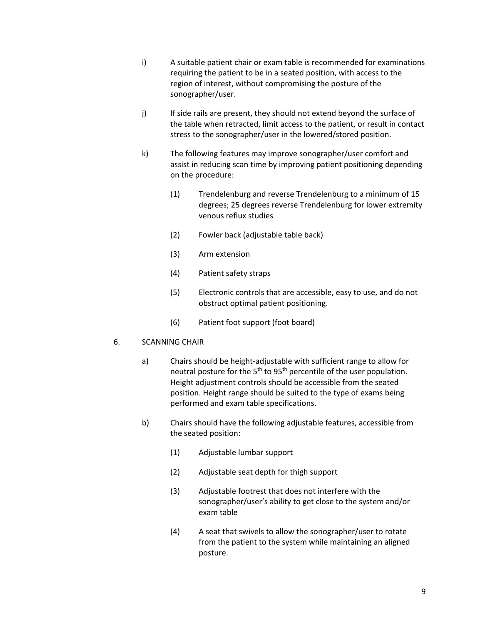- i) A suitable patient chair or exam table is recommended for examinations requiring the patient to be in a seated position, with access to the region of interest, without compromising the posture of the sonographer/user.
- j) If side rails are present, they should not extend beyond the surface of the table when retracted, limit access to the patient, or result in contact stress to the sonographer/user in the lowered/stored position.
- k) The following features may improve sonographer/user comfort and assist in reducing scan time by improving patient positioning depending on the procedure:
	- (1) Trendelenburg and reverse Trendelenburg to a minimum of 15 degrees; 25 degrees reverse Trendelenburg for lower extremity venous reflux studies
	- (2) Fowler back (adjustable table back)
	- (3) Arm extension
	- (4) Patient safety straps
	- (5) Electronic controls that are accessible, easy to use, and do not obstruct optimal patient positioning.
	- (6) Patient foot support (foot board)

#### 6. SCANNING CHAIR

- a) Chairs should be height-adjustable with sufficient range to allow for neutral posture for the  $5<sup>th</sup>$  to 95<sup>th</sup> percentile of the user population. Height adjustment controls should be accessible from the seated position. Height range should be suited to the type of exams being performed and exam table specifications.
- b) Chairs should have the following adjustable features, accessible from the seated position:
	- (1) Adjustable lumbar support
	- (2) Adjustable seat depth for thigh support
	- (3) Adjustable footrest that does not interfere with the sonographer/user's ability to get close to the system and/or exam table
	- (4) A seat that swivels to allow the sonographer/user to rotate from the patient to the system while maintaining an aligned posture.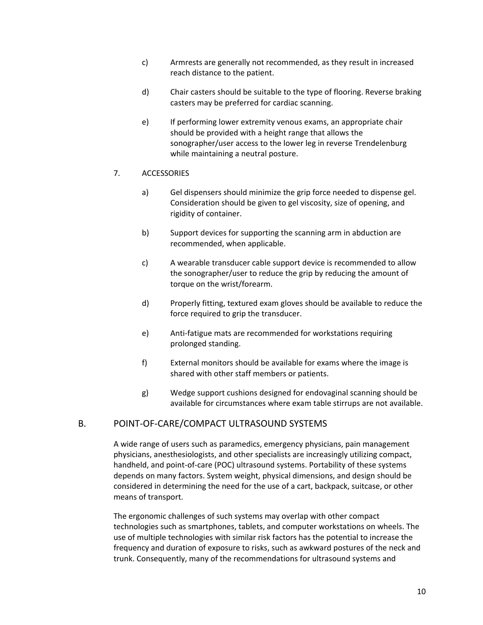- c) Armrests are generally not recommended, as they result in increased reach distance to the patient.
- d) Chair casters should be suitable to the type of flooring. Reverse braking casters may be preferred for cardiac scanning.
- e) If performing lower extremity venous exams, an appropriate chair should be provided with a height range that allows the sonographer/user access to the lower leg in reverse Trendelenburg while maintaining a neutral posture.
- 7. ACCESSORIES
	- a) Gel dispensers should minimize the grip force needed to dispense gel. Consideration should be given to gel viscosity, size of opening, and rigidity of container.
	- b) Support devices for supporting the scanning arm in abduction are recommended, when applicable.
	- c) A wearable transducer cable support device is recommended to allow the sonographer/user to reduce the grip by reducing the amount of torque on the wrist/forearm.
	- d) Properly fitting, textured exam gloves should be available to reduce the force required to grip the transducer.
	- e) Anti-fatigue mats are recommended for workstations requiring prolonged standing.
	- f) External monitors should be available for exams where the image is shared with other staff members or patients.
	- g) Wedge support cushions designed for endovaginal scanning should be available for circumstances where exam table stirrups are not available.

#### B. POINT-OF-CARE/COMPACT ULTRASOUND SYSTEMS

A wide range of users such as paramedics, emergency physicians, pain management physicians, anesthesiologists, and other specialists are increasingly utilizing compact, handheld, and point-of-care (POC) ultrasound systems. Portability of these systems depends on many factors. System weight, physical dimensions, and design should be considered in determining the need for the use of a cart, backpack, suitcase, or other means of transport.

The ergonomic challenges of such systems may overlap with other compact technologies such as smartphones, tablets, and computer workstations on wheels. The use of multiple technologies with similar risk factors has the potential to increase the frequency and duration of exposure to risks, such as awkward postures of the neck and trunk. Consequently, many of the recommendations for ultrasound systems and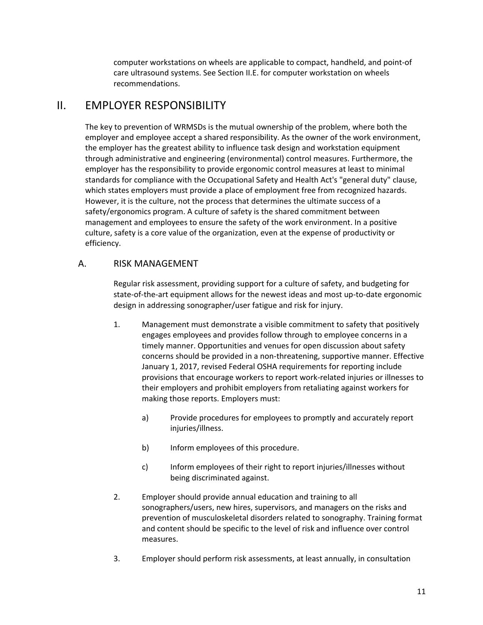computer workstations on wheels are applicable to compact, handheld, and point-of care ultrasound systems. See Section II.E. for computer workstation on wheels recommendations.

### II. EMPLOYER RESPONSIBILITY

The key to prevention of WRMSDs is the mutual ownership of the problem, where both the employer and employee accept a shared responsibility. As the owner of the work environment, the employer has the greatest ability to influence task design and workstation equipment through administrative and engineering (environmental) control measures. Furthermore, the employer has the responsibility to provide ergonomic control measures at least to minimal standards for compliance with the Occupational Safety and Health Act's "general duty" clause, which states employers must provide a place of employment free from recognized hazards. However, it is the culture, not the process that determines the ultimate success of a safety/ergonomics program. A culture of safety is the shared commitment between management and employees to ensure the safety of the work environment. In a positive culture, safety is a core value of the organization, even at the expense of productivity or efficiency.

### A. RISK MANAGEMENT

Regular risk assessment, providing support for a culture of safety, and budgeting for state-of-the-art equipment allows for the newest ideas and most up-to-date ergonomic design in addressing sonographer/user fatigue and risk for injury.

- 1. Management must demonstrate a visible commitment to safety that positively engages employees and provides follow through to employee concerns in a timely manner. Opportunities and venues for open discussion about safety concerns should be provided in a non-threatening, supportive manner. Effective January 1, 2017, revised Federal OSHA requirements for reporting include provisions that encourage workers to report work-related injuries or illnesses to their employers and prohibit employers from retaliating against workers for making those reports. Employers must:
	- a) Provide procedures for employees to promptly and accurately report injuries/illness.
	- b) Inform employees of this procedure.
	- c) Inform employees of their right to report injuries/illnesses without being discriminated against.
- 2. Employer should provide annual education and training to all sonographers/users, new hires, supervisors, and managers on the risks and prevention of musculoskeletal disorders related to sonography. Training format and content should be specific to the level of risk and influence over control measures.
- 3. Employer should perform risk assessments, at least annually, in consultation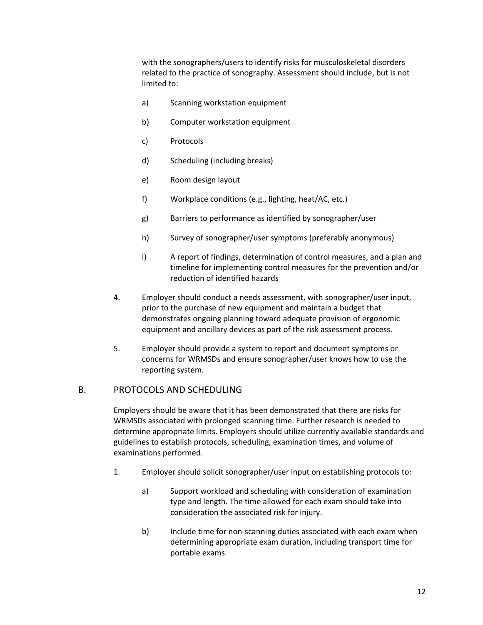with the sonographers/users to identify risks for musculoskeletal disorders related to the practice of sonography. Assessment should include, but is not limited to:

- a) Scanning workstation equipment
- b) Computer workstation equipment
- c) Protocols
- d) Scheduling (including breaks)
- e) Room design layout
- f) Workplace conditions (e.g., lighting, heat/AC, etc.)
- g) Barriers to performance as identified by sonographer/user
- h) Survey of sonographer/user symptoms (preferably anonymous)
- i) A report of findings, determination of control measures, and a plan and timeline for implementing control measures for the prevention and/or reduction of identified hazards
- 4. Employer should conduct a needs assessment, with sonographer/user input, prior to the purchase of new equipment and maintain a budget that demonstrates ongoing planning toward adequate provision of ergonomic equipment and ancillary devices as part of the risk assessment process.
- 5. Employer should provide a system to report and document symptoms or concerns for WRMSDs and ensure sonographer/user knows how to use the reporting system.

### B. PROTOCOLS AND SCHEDULING

Employers should be aware that it has been demonstrated that there are risks for WRMSDs associated with prolonged scanning time. Further research is needed to determine appropriate limits. Employers should utilize currently available standards and guidelines to establish protocols, scheduling, examination times, and volume of examinations performed.

- 1. Employer should solicit sonographer/user input on establishing protocols to:
	- a) Support workload and scheduling with consideration of examination type and length. The time allowed for each exam should take into consideration the associated risk for injury.
	- b) Include time for non-scanning duties associated with each exam when determining appropriate exam duration, including transport time for portable exams.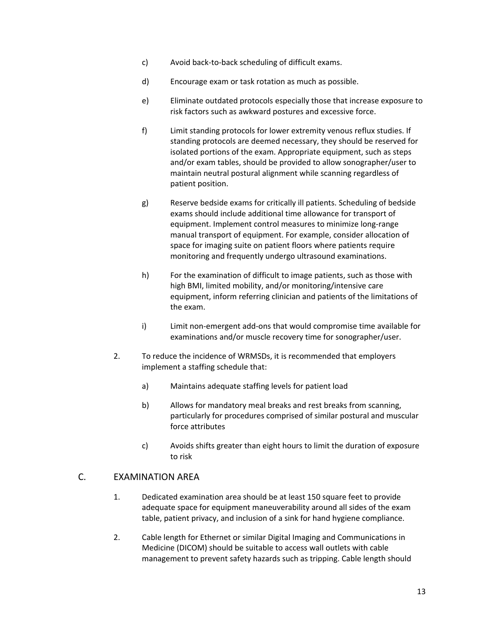- c) Avoid back-to-back scheduling of difficult exams.
- d) Encourage exam or task rotation as much as possible.
- e) Eliminate outdated protocols especially those that increase exposure to risk factors such as awkward postures and excessive force.
- f) Limit standing protocols for lower extremity venous reflux studies. If standing protocols are deemed necessary, they should be reserved for isolated portions of the exam. Appropriate equipment, such as steps and/or exam tables, should be provided to allow sonographer/user to maintain neutral postural alignment while scanning regardless of patient position.
- g) Reserve bedside exams for critically ill patients. Scheduling of bedside exams should include additional time allowance for transport of equipment. Implement control measures to minimize long-range manual transport of equipment. For example, consider allocation of space for imaging suite on patient floors where patients require monitoring and frequently undergo ultrasound examinations.
- h) For the examination of difficult to image patients, such as those with high BMI, limited mobility, and/or monitoring/intensive care equipment, inform referring clinician and patients of the limitations of the exam.
- i) Limit non-emergent add-ons that would compromise time available for examinations and/or muscle recovery time for sonographer/user.
- 2. To reduce the incidence of WRMSDs, it is recommended that employers implement a staffing schedule that:
	- a) Maintains adequate staffing levels for patient load
	- b) Allows for mandatory meal breaks and rest breaks from scanning, particularly for procedures comprised of similar postural and muscular force attributes
	- c) Avoids shifts greater than eight hours to limit the duration of exposure to risk

#### C. EXAMINATION AREA

- 1. Dedicated examination area should be at least 150 square feet to provide adequate space for equipment maneuverability around all sides of the exam table, patient privacy, and inclusion of a sink for hand hygiene compliance.
- 2. Cable length for Ethernet or similar Digital Imaging and Communications in Medicine (DICOM) should be suitable to access wall outlets with cable management to prevent safety hazards such as tripping. Cable length should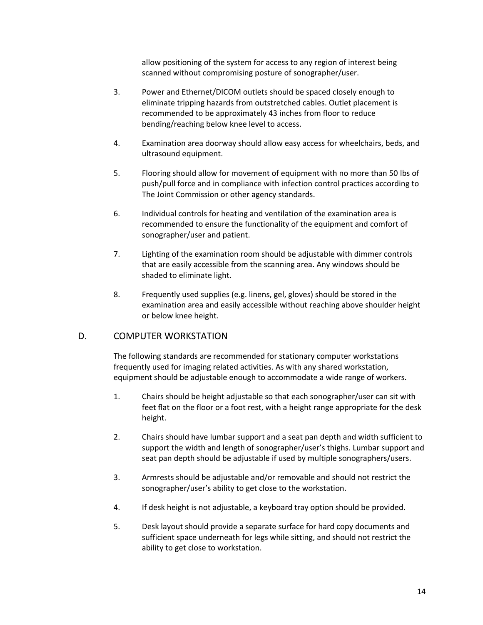allow positioning of the system for access to any region of interest being scanned without compromising posture of sonographer/user.

- 3. Power and Ethernet/DICOM outlets should be spaced closely enough to eliminate tripping hazards from outstretched cables. Outlet placement is recommended to be approximately 43 inches from floor to reduce bending/reaching below knee level to access.
- 4. Examination area doorway should allow easy access for wheelchairs, beds, and ultrasound equipment.
- 5. Flooring should allow for movement of equipment with no more than 50 lbs of push/pull force and in compliance with infection control practices according to The Joint Commission or other agency standards.
- 6. Individual controls for heating and ventilation of the examination area is recommended to ensure the functionality of the equipment and comfort of sonographer/user and patient.
- 7. Lighting of the examination room should be adjustable with dimmer controls that are easily accessible from the scanning area. Any windows should be shaded to eliminate light.
- 8. Frequently used supplies (e.g. linens, gel, gloves) should be stored in the examination area and easily accessible without reaching above shoulder height or below knee height.

### D. COMPUTER WORKSTATION

The following standards are recommended for stationary computer workstations frequently used for imaging related activities. As with any shared workstation, equipment should be adjustable enough to accommodate a wide range of workers.

- 1. Chairs should be height adjustable so that each sonographer/user can sit with feet flat on the floor or a foot rest, with a height range appropriate for the desk height.
- 2. Chairs should have lumbar support and a seat pan depth and width sufficient to support the width and length of sonographer/user's thighs. Lumbar support and seat pan depth should be adjustable if used by multiple sonographers/users.
- 3. Armrests should be adjustable and/or removable and should not restrict the sonographer/user's ability to get close to the workstation.
- 4. If desk height is not adjustable, a keyboard tray option should be provided.
- 5. Desk layout should provide a separate surface for hard copy documents and sufficient space underneath for legs while sitting, and should not restrict the ability to get close to workstation.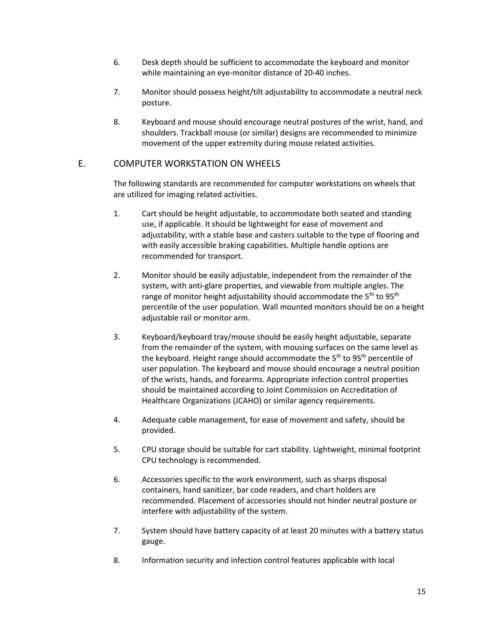- 6. Desk depth should be sufficient to accommodate the keyboard and monitor while maintaining an eye-monitor distance of 20-40 inches.
- 7. Monitor should possess height/tilt adjustability to accommodate a neutral neck posture.
- 8. Keyboard and mouse should encourage neutral postures of the wrist, hand, and shoulders. Trackball mouse (or similar) designs are recommended to minimize movement of the upper extremity during mouse related activities.

### E. COMPUTER WORKSTATION ON WHEELS

The following standards are recommended for computer workstations on wheels that are utilized for imaging related activities.

- 1. Cart should be height adjustable, to accommodate both seated and standing use, if applicable. It should be lightweight for ease of movement and adjustability, with a stable base and casters suitable to the type of flooring and with easily accessible braking capabilities. Multiple handle options are recommended for transport.
- 2. Monitor should be easily adjustable, independent from the remainder of the system, with anti-glare properties, and viewable from multiple angles. The range of monitor height adjustability should accommodate the 5<sup>th</sup> to 95<sup>th</sup> percentile of the user population. Wall mounted monitors should be on a height adjustable rail or monitor arm.
- 3. Keyboard/keyboard tray/mouse should be easily height adjustable, separate from the remainder of the system, with mousing surfaces on the same level as the keyboard. Height range should accommodate the  $5<sup>th</sup>$  to  $95<sup>th</sup>$  percentile of user population. The keyboard and mouse should encourage a neutral position of the wrists, hands, and forearms. Appropriate infection control properties should be maintained according to Joint Commission on Accreditation of Healthcare Organizations (JCAHO) or similar agency requirements.
- 4. Adequate cable management, for ease of movement and safety, should be provided.
- 5. CPU storage should be suitable for cart stability. Lightweight, minimal footprint CPU technology is recommended.
- 6. Accessories specific to the work environment, such as sharps disposal containers, hand sanitizer, bar code readers, and chart holders are recommended. Placement of accessories should not hinder neutral posture or interfere with adjustability of the system.
- 7. System should have battery capacity of at least 20 minutes with a battery status gauge.
- 8. Information security and infection control features applicable with local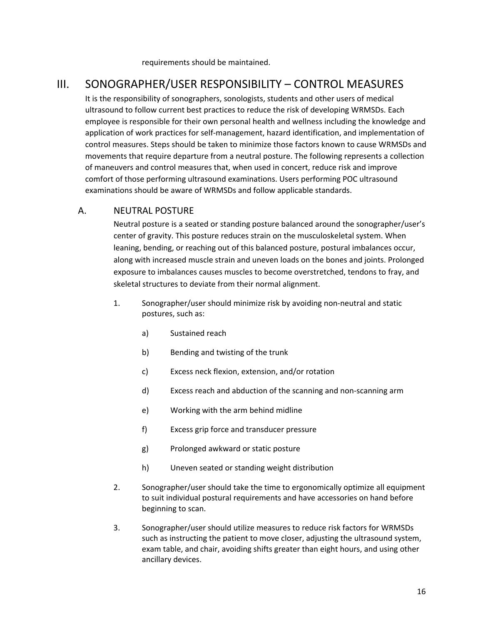requirements should be maintained.

## III. SONOGRAPHER/USER RESPONSIBILITY – CONTROL MEASURES

It is the responsibility of sonographers, sonologists, students and other users of medical ultrasound to follow current best practices to reduce the risk of developing WRMSDs. Each employee is responsible for their own personal health and wellness including the knowledge and application of work practices for self-management, hazard identification, and implementation of control measures. Steps should be taken to minimize those factors known to cause WRMSDs and movements that require departure from a neutral posture. The following represents a collection of maneuvers and control measures that, when used in concert, reduce risk and improve comfort of those performing ultrasound examinations. Users performing POC ultrasound examinations should be aware of WRMSDs and follow applicable standards.

### A. NEUTRAL POSTURE

Neutral posture is a seated or standing posture balanced around the sonographer/user's center of gravity. This posture reduces strain on the musculoskeletal system. When leaning, bending, or reaching out of this balanced posture, postural imbalances occur, along with increased muscle strain and uneven loads on the bones and joints. Prolonged exposure to imbalances causes muscles to become overstretched, tendons to fray, and skeletal structures to deviate from their normal alignment.

- 1. Sonographer/user should minimize risk by avoiding non-neutral and static postures, such as:
	- a) Sustained reach
	- b) Bending and twisting of the trunk
	- c) Excess neck flexion, extension, and/or rotation
	- d) Excess reach and abduction of the scanning and non-scanning arm
	- e) Working with the arm behind midline
	- f) Excess grip force and transducer pressure
	- g) Prolonged awkward or static posture
	- h) Uneven seated or standing weight distribution
- 2. Sonographer/user should take the time to ergonomically optimize all equipment to suit individual postural requirements and have accessories on hand before beginning to scan.
- 3. Sonographer/user should utilize measures to reduce risk factors for WRMSDs such as instructing the patient to move closer, adjusting the ultrasound system, exam table, and chair, avoiding shifts greater than eight hours, and using other ancillary devices.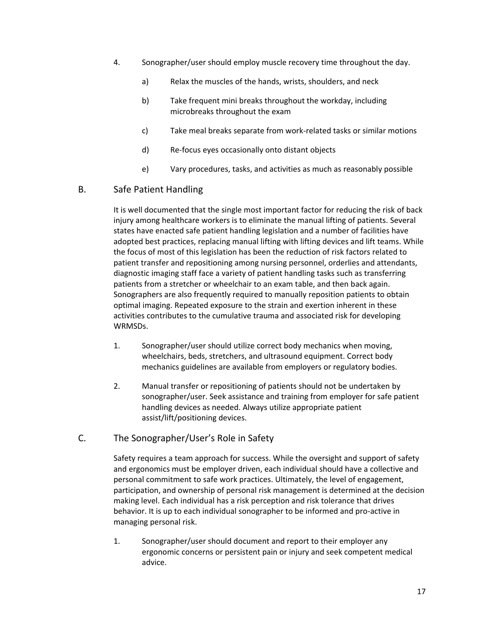- 4. Sonographer/user should employ muscle recovery time throughout the day.
	- a) Relax the muscles of the hands, wrists, shoulders, and neck
	- b) Take frequent mini breaks throughout the workday, including microbreaks throughout the exam
	- c) Take meal breaks separate from work-related tasks or similar motions
	- d) Re-focus eyes occasionally onto distant objects
	- e) Vary procedures, tasks, and activities as much as reasonably possible

#### B. Safe Patient Handling

It is well documented that the single most important factor for reducing the risk of back injury among healthcare workers is to eliminate the manual lifting of patients. Several states have enacted safe patient handling legislation and a number of facilities have adopted best practices, replacing manual lifting with lifting devices and lift teams. While the focus of most of this legislation has been the reduction of risk factors related to patient transfer and repositioning among nursing personnel, orderlies and attendants, diagnostic imaging staff face a variety of patient handling tasks such as transferring patients from a stretcher or wheelchair to an exam table, and then back again. Sonographers are also frequently required to manually reposition patients to obtain optimal imaging. Repeated exposure to the strain and exertion inherent in these activities contributes to the cumulative trauma and associated risk for developing WRMSDs.

- 1. Sonographer/user should utilize correct body mechanics when moving, wheelchairs, beds, stretchers, and ultrasound equipment. Correct body mechanics guidelines are available from employers or regulatory bodies.
- 2. Manual transfer or repositioning of patients should not be undertaken by sonographer/user. Seek assistance and training from employer for safe patient handling devices as needed. Always utilize appropriate patient assist/lift/positioning devices.

### C. The Sonographer/User's Role in Safety

Safety requires a team approach for success. While the oversight and support of safety and ergonomics must be employer driven, each individual should have a collective and personal commitment to safe work practices. Ultimately, the level of engagement, participation, and ownership of personal risk management is determined at the decision making level. Each individual has a risk perception and risk tolerance that drives behavior. It is up to each individual sonographer to be informed and pro-active in managing personal risk.

1. Sonographer/user should document and report to their employer any ergonomic concerns or persistent pain or injury and seek competent medical advice.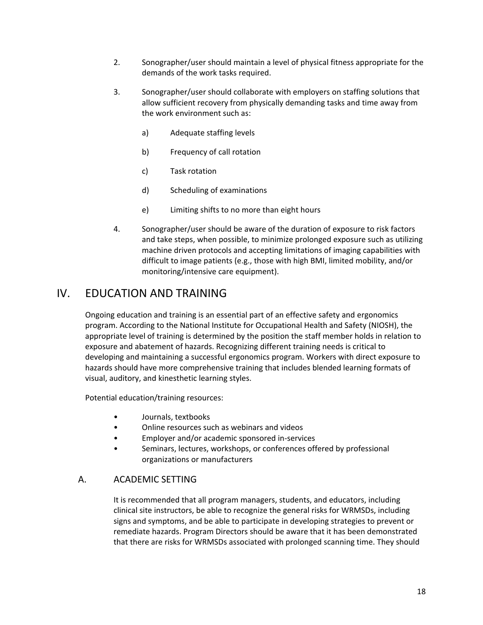- 2. Sonographer/user should maintain a level of physical fitness appropriate for the demands of the work tasks required.
- 3. Sonographer/user should collaborate with employers on staffing solutions that allow sufficient recovery from physically demanding tasks and time away from the work environment such as:
	- a) Adequate staffing levels
	- b) Frequency of call rotation
	- c) Task rotation
	- d) Scheduling of examinations
	- e) Limiting shifts to no more than eight hours
- 4. Sonographer/user should be aware of the duration of exposure to risk factors and take steps, when possible, to minimize prolonged exposure such as utilizing machine driven protocols and accepting limitations of imaging capabilities with difficult to image patients (e.g., those with high BMI, limited mobility, and/or monitoring/intensive care equipment).

### IV. EDUCATION AND TRAINING

Ongoing education and training is an essential part of an effective safety and ergonomics program. According to the National Institute for Occupational Health and Safety (NIOSH), the appropriate level of training is determined by the position the staff member holds in relation to exposure and abatement of hazards. Recognizing different training needs is critical to developing and maintaining a successful ergonomics program. Workers with direct exposure to hazards should have more comprehensive training that includes blended learning formats of visual, auditory, and kinesthetic learning styles.

Potential education/training resources:

- Journals, textbooks
- Online resources such as webinars and videos
- Employer and/or academic sponsored in-services
- Seminars, lectures, workshops, or conferences offered by professional organizations or manufacturers

### A. ACADEMIC SETTING

It is recommended that all program managers, students, and educators, including clinical site instructors, be able to recognize the general risks for WRMSDs, including signs and symptoms, and be able to participate in developing strategies to prevent or remediate hazards. Program Directors should be aware that it has been demonstrated that there are risks for WRMSDs associated with prolonged scanning time. They should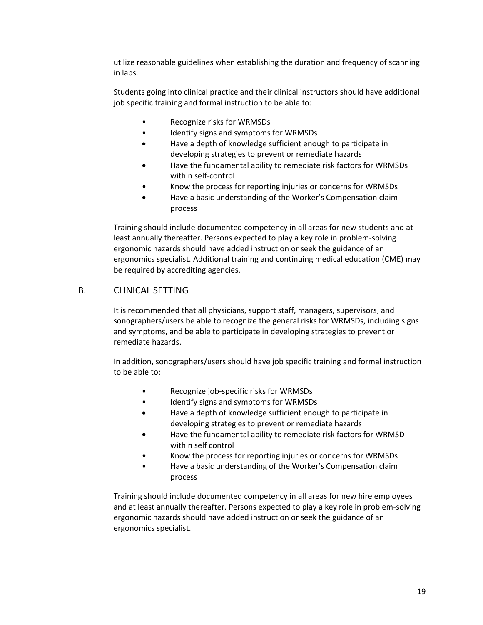utilize reasonable guidelines when establishing the duration and frequency of scanning in labs.

Students going into clinical practice and their clinical instructors should have additional job specific training and formal instruction to be able to:

- Recognize risks for WRMSDs
- Identify signs and symptoms for WRMSDs
- Have a depth of knowledge sufficient enough to participate in developing strategies to prevent or remediate hazards
- Have the fundamental ability to remediate risk factors for WRMSDs within self-control
- Know the process for reporting injuries or concerns for WRMSDs
- Have a basic understanding of the Worker's Compensation claim process

Training should include documented competency in all areas for new students and at least annually thereafter. Persons expected to play a key role in problem-solving ergonomic hazards should have added instruction or seek the guidance of an ergonomics specialist. Additional training and continuing medical education (CME) may be required by accrediting agencies.

### B. CLINICAL SETTING

It is recommended that all physicians, support staff, managers, supervisors, and sonographers/users be able to recognize the general risks for WRMSDs, including signs and symptoms, and be able to participate in developing strategies to prevent or remediate hazards.

In addition, sonographers/users should have job specific training and formal instruction to be able to:

- Recognize job-specific risks for WRMSDs
- Identify signs and symptoms for WRMSDs
- Have a depth of knowledge sufficient enough to participate in developing strategies to prevent or remediate hazards
- Have the fundamental ability to remediate risk factors for WRMSD within self control
- Know the process for reporting injuries or concerns for WRMSDs
- Have a basic understanding of the Worker's Compensation claim process

Training should include documented competency in all areas for new hire employees and at least annually thereafter. Persons expected to play a key role in problem-solving ergonomic hazards should have added instruction or seek the guidance of an ergonomics specialist.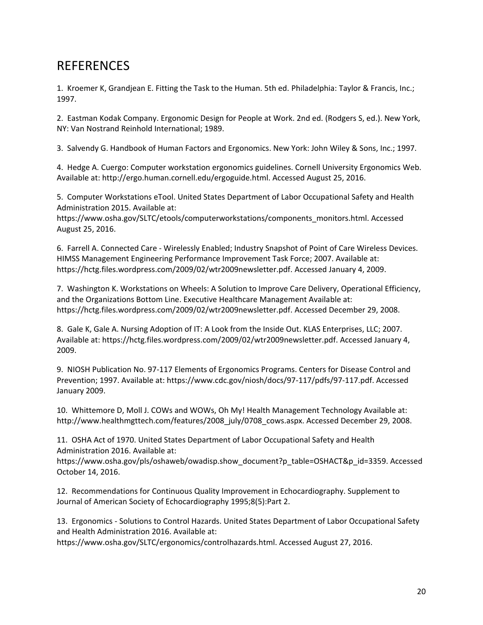# **REFERENCES**

1. Kroemer K, Grandjean E. Fitting the Task to the Human. 5th ed. Philadelphia: Taylor & Francis, Inc.; 1997.

2. Eastman Kodak Company. Ergonomic Design for People at Work. 2nd ed. (Rodgers S, ed.). New York, NY: Van Nostrand Reinhold International; 1989.

3. Salvendy G. Handbook of Human Factors and Ergonomics. New York: John Wiley & Sons, Inc.; 1997.

4. Hedge A. Cuergo: Computer workstation ergonomics guidelines. Cornell University Ergonomics Web. Available at: http://ergo.human.cornell.edu/ergoguide.html. Accessed August 25, 2016.

5. Computer Workstations eTool. United States Department of Labor Occupational Safety and Health Administration 2015. Available at:

https://www.osha.gov/SLTC/etools/computerworkstations/components\_monitors.html. Accessed August 25, 2016.

6. Farrell A. Connected Care - Wirelessly Enabled; Industry Snapshot of Point of Care Wireless Devices. HIMSS Management Engineering Performance Improvement Task Force; 2007. Available at: https://hctg.files.wordpress.com/2009/02/wtr2009newsletter.pdf. Accessed January 4, 2009.

7. Washington K. Workstations on Wheels: A Solution to Improve Care Delivery, Operational Efficiency, and the Organizations Bottom Line. Executive Healthcare Management Available at: https://hctg.files.wordpress.com/2009/02/wtr2009newsletter.pdf. Accessed December 29, 2008.

8. Gale K, Gale A. Nursing Adoption of IT: A Look from the Inside Out. KLAS Enterprises, LLC; 2007. Available at: https://hctg.files.wordpress.com/2009/02/wtr2009newsletter.pdf. Accessed January 4, 2009.

9. NIOSH Publication No. 97-117 Elements of Ergonomics Programs. Centers for Disease Control and Prevention; 1997. Available at[: https://www.cdc.gov/niosh/docs/97-117/pdfs/97-117.pdf.](https://www.cdc.gov/niosh/docs/97-117/pdfs/97-117.pdf) Accessed January 2009.

10. Whittemore D, Moll J. COWs and WOWs, Oh My! Health Management Technology Available at: http://www.healthmgttech.com/features/2008\_july/0708\_cows.aspx. Accessed December 29, 2008.

11. OSHA Act of 1970. United States Department of Labor Occupational Safety and Health Administration 2016. Available at:

https://www.osha.gov/pls/oshaweb/owadisp.show\_document?p\_table=OSHACT&p\_id=3359. Accessed October 14, 2016.

12. Recommendations for Continuous Quality Improvement in Echocardiography. Supplement to Journal of American Society of Echocardiography 1995;8(5):Part 2.

13. Ergonomics - Solutions to Control Hazards. United States Department of Labor Occupational Safety and Health Administration 2016. Available at:

https://www.osha.gov/SLTC/ergonomics/controlhazards.html. Accessed August 27, 2016.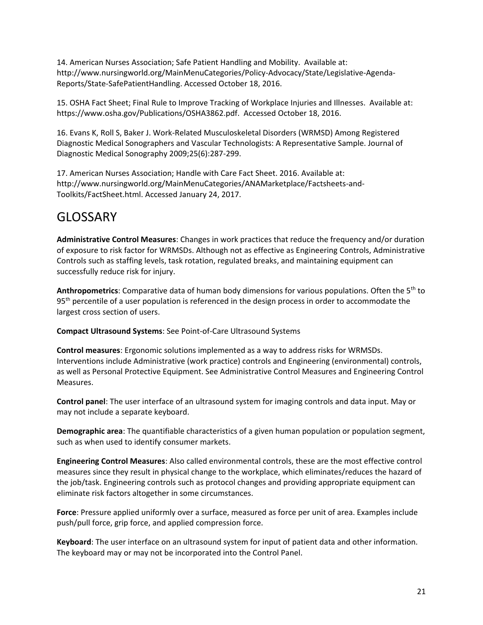14. American Nurses Association; Safe Patient Handling and Mobility. Available at: [http://www.nursingworld.org/MainMenuCategories/Policy-Advocacy/State/Legislative-Agenda-](http://www.nursingworld.org/MainMenuCategories/Policy-Advocacy/State/Legislative-Agenda-Reports/State-SafePatientHandling)[Reports/State-SafePatientHandling.](http://www.nursingworld.org/MainMenuCategories/Policy-Advocacy/State/Legislative-Agenda-Reports/State-SafePatientHandling) Accessed October 18, 2016.

15. OSHA Fact Sheet; Final Rule to Improve Tracking of Workplace Injuries and Illnesses. Available at: [https://www.osha.gov/Publications/OSHA3862.pdf.](https://www.osha.gov/Publications/OSHA3862.pdf) Accessed October 18, 2016.

16. Evans K, Roll S, Baker J. Work-Related Musculoskeletal Disorders (WRMSD) Among Registered Diagnostic Medical Sonographers and Vascular Technologists: A Representative Sample. Journal of Diagnostic Medical Sonography 2009;25(6):287-299.

17. American Nurses Association; Handle with Care Fact Sheet. 2016. Available at: http://www.nursingworld.org/MainMenuCategories/ANAMarketplace/Factsheets-and-Toolkits/FactSheet.html. Accessed January 24, 2017.

# **GLOSSARY**

**Administrative Control Measures**: Changes in work practices that reduce the frequency and/or duration of exposure to risk factor for WRMSDs. Although not as effective as Engineering Controls, Administrative Controls such as staffing levels, task rotation, regulated breaks, and maintaining equipment can successfully reduce risk for injury.

**Anthropometrics**: Comparative data of human body dimensions for various populations. Often the 5th to 95<sup>th</sup> percentile of a user population is referenced in the design process in order to accommodate the largest cross section of users.

**Compact Ultrasound Systems**: See Point-of-Care Ultrasound Systems

**Control measures**: Ergonomic solutions implemented as a way to address risks for WRMSDs. Interventions include Administrative (work practice) controls and Engineering (environmental) controls, as well as Personal Protective Equipment. See Administrative Control Measures and Engineering Control Measures.

**Control panel**: The user interface of an ultrasound system for imaging controls and data input. May or may not include a separate keyboard.

**Demographic area**: The quantifiable characteristics of a given human population or population segment, such as when used to identify consumer markets.

**Engineering Control Measures**: Also called environmental controls, these are the most effective control measures since they result in physical change to the workplace, which eliminates/reduces the hazard of the job/task. Engineering controls such as protocol changes and providing appropriate equipment can eliminate risk factors altogether in some circumstances.

**Force**: Pressure applied uniformly over a surface, measured as force per unit of area. Examples include push/pull force, grip force, and applied compression force.

**Keyboard**: The user interface on an ultrasound system for input of patient data and other information. The keyboard may or may not be incorporated into the Control Panel.